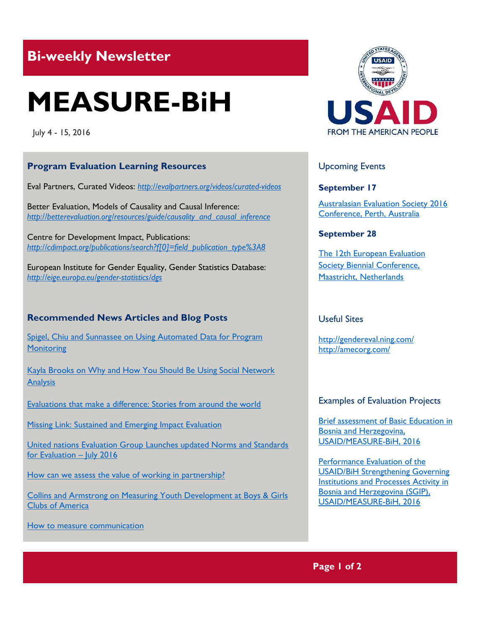## **Bi-weekly Newsletter**

# **MEASURE-BiH**

July 4 - 15, 2016

#### **Program Evaluation Learning Resources**

Eval Partners, Curated Videos: *<http://evalpartners.org/videos/curated-videos>*

Better Evaluation, Models of Causality and Causal Inference: *[http://betterevaluation.org/resources/guide/causality\\_and\\_causal\\_inference](http://betterevaluation.org/resources/guide/causality_and_causal_inference)* 

Centre for Development Impact, Publications: *[http://cdimpact.org/publications/search?f\[0\]=field\\_publication\\_type%3A8](http://cdimpact.org/publications/search?f%5b0%5d=field_publication_type%3A8)*

European Institute for Gender Equality, Gender Statistics Database: *<http://eige.europa.eu/gender-statistics/dgs>*

#### **Recommended News Articles and Blog Posts**

[Spigel, Chiu and Sunnassee on Using Automated Data for Program](http://aea365.org/blog/lauren-spigel-korinne-chiu-and-emma-sunnassee-on-using-automated-data-for-program-monitoring/?utm_source=feedburner&utm_medium=feed&utm_campaign=Feed%3A+aea365+%28AEA365%29)  **Monitoring** 

[Kayla Brooks on Why and How You Should Be Using Social Network](http://aea365.org/blog/kayla-brooks-on-why-and-how-you-should-be-using-social-network-analysis/?utm_source=feedburner&utm_medium=feed&utm_campaign=Feed%3A+aea365+%28AEA365%29)  **[Analysis](http://aea365.org/blog/kayla-brooks-on-why-and-how-you-should-be-using-social-network-analysis/?utm_source=feedburner&utm_medium=feed&utm_campaign=Feed%3A+aea365+%28AEA365%29)** 

[Evaluations that make a difference: Stories from around the world](http://betterevaluation.org/blog/evaluations_that_make_difference)

[Missing Link: Sustained and Emerging Impact Evaluation](http://betterevaluation.org/blog/SEIE)

[United nations Evaluation Group Launches updated Norms and Standards](https://madmimi.com/p/ee8d38)  [for Evaluation](https://madmimi.com/p/ee8d38) – July 2016

How can we assess the value of working in partnership?

[Collins and Armstrong on Measuring Youth Development at Boys & Girls](http://aea365.org/blog/lawg-week-krista-collins-and-mike-armstrong-on-measuring-youth-development-at-boys-girls-clubs-of-america/?utm_source=feedburner&utm_medium=feed&utm_campaign=Feed%3A+aea365+%28AEA365%29)  [Clubs of America](http://aea365.org/blog/lawg-week-krista-collins-and-mike-armstrong-on-measuring-youth-development-at-boys-girls-clubs-of-america/?utm_source=feedburner&utm_medium=feed&utm_campaign=Feed%3A+aea365+%28AEA365%29)

[How to measure communication](http://amecorg.com/how-to-measure-communication/) 



#### Upcoming Events

**September 17**

[Australasian Evaluation Society 2016](http://mande.co.uk/conferences/?event_id1=24)  [Conference, Perth, Australia](http://mande.co.uk/conferences/?event_id1=24)

#### **[September 28](http://mande.co.uk/conferences/?event_id1=24)**

[The 12th European Evaluation](http://mande.co.uk/conferences/?event_id1=16)  [Society Biennial Conference,](http://mande.co.uk/conferences/?event_id1=16)  [Maastricht, Netherlands](http://mande.co.uk/conferences/?event_id1=16)

#### Useful Sites

<http://gendereval.ning.com/> <http://amecorg.com/>

#### Examples of Evaluation Projects

[Brief assessment of Basic Education in](http://pdf.usaid.gov/pdf_docs/pa00m3pb.pdf)  [Bosnia and Herzegovina,](http://pdf.usaid.gov/pdf_docs/pa00m3pb.pdf)  [USAID/MEASURE-BiH, 2016](http://pdf.usaid.gov/pdf_docs/pa00m3pb.pdf)

[Performance Evaluation of the](http://pdf.usaid.gov/pdf_docs/pa00kz24.pdf)  [USAID/BiH Strengthening Governing](http://pdf.usaid.gov/pdf_docs/pa00kz24.pdf)  [Institutions and Processes Activity in](http://pdf.usaid.gov/pdf_docs/pa00kz24.pdf)  [Bosnia and Herzegovina \(SGIP\),](http://pdf.usaid.gov/pdf_docs/pa00kz24.pdf)  [USAID/MEASURE-BiH, 2016](http://pdf.usaid.gov/pdf_docs/pa00kz24.pdf)

**Page 1 of 2**